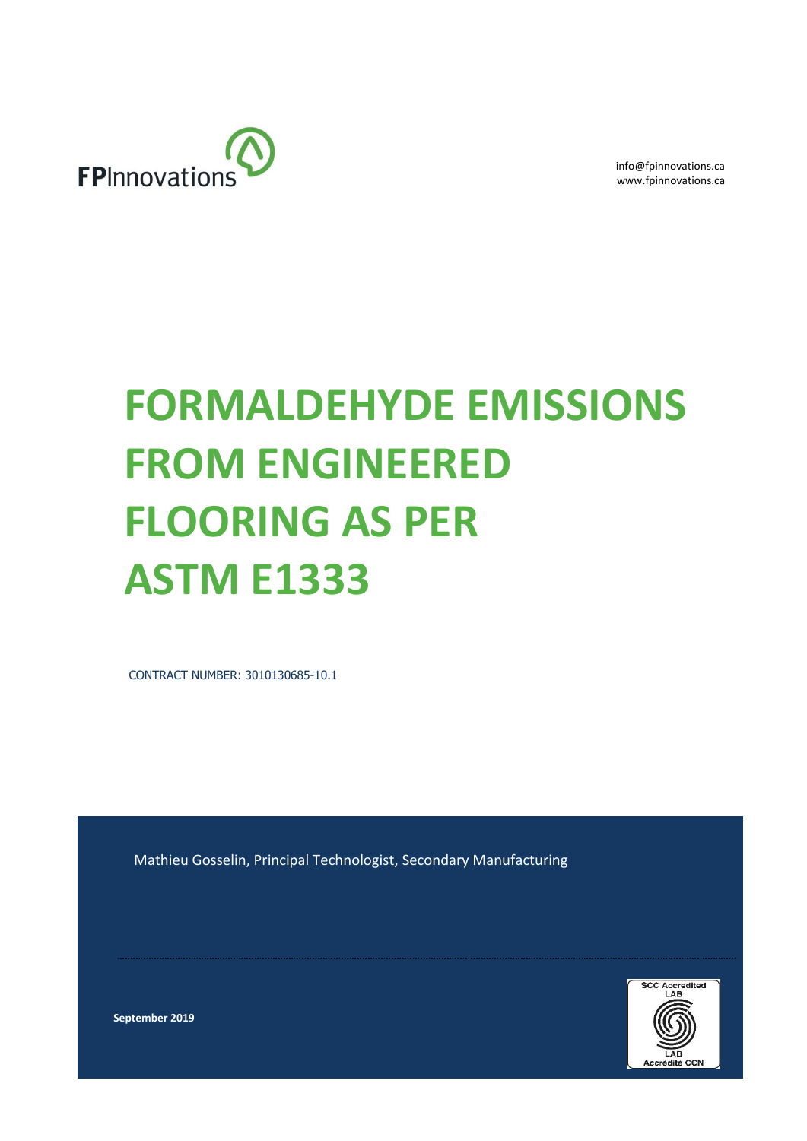

info@fpinnovations.ca www.fpinnovations.ca

# **FORMALDEHYDE EMISSIONS FROM ENGINEERED FLOORING AS PER ASTM E1333**

CONTRACT NUMBER: 3010130685-10.1

Mathieu Gosselin, Principal Technologist, Secondary Manufacturing



**September 2019**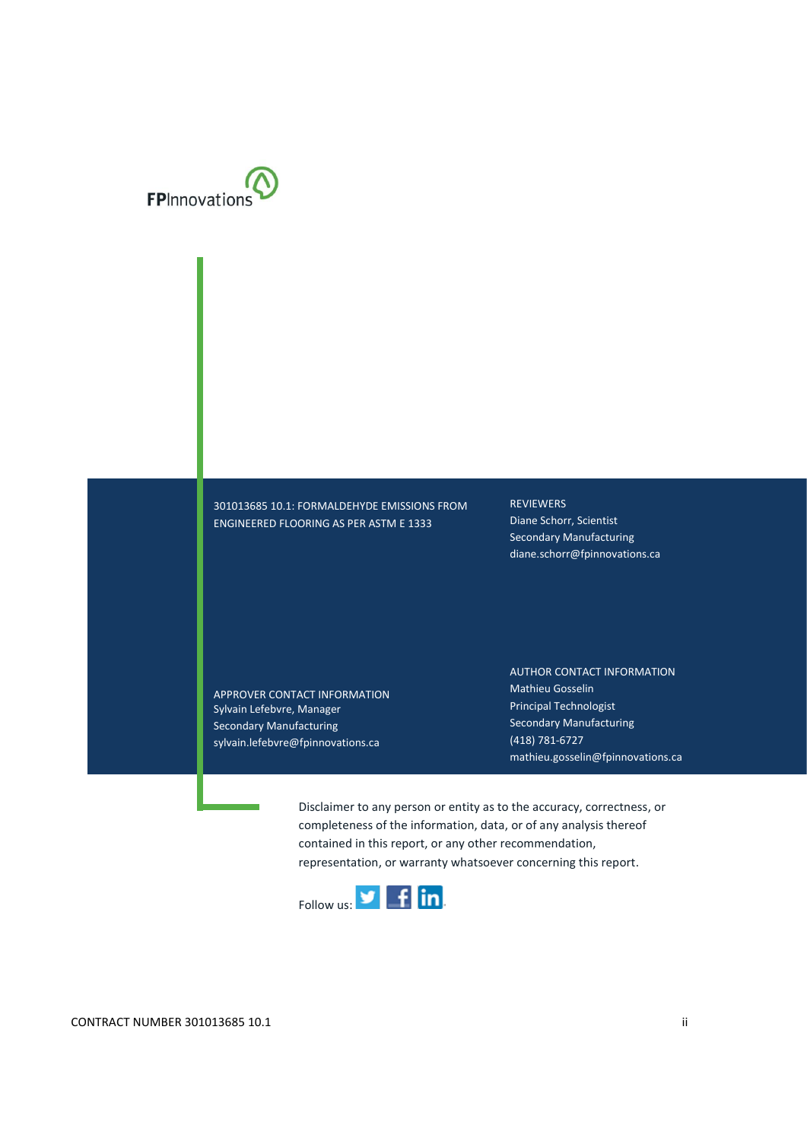

301013685 10.1: FORMALDEHYDE EMISSIONS FROM ENGINEERED FLOORING AS PER ASTM E 1333

REVIEWERS Diane Schorr, Scientist Secondary Manufacturing diane.schorr@fpinnovations.ca

APPROVER CONTACT INFORMATION Sylvain Lefebvre, Manager Secondary Manufacturing sylvain.lefebvre@fpinnovations.ca

AUTHOR CONTACT INFORMATION Mathieu Gosselin Principal Technologist Secondary Manufacturing (418) 781-6727 mathieu.gosselin@fpinnovations.ca

Disclaimer to any person or entity as to the accuracy, correctness, or completeness of the information, data, or of any analysis thereof contained in this report, or any other recommendation, representation, or warranty whatsoever concerning this report.

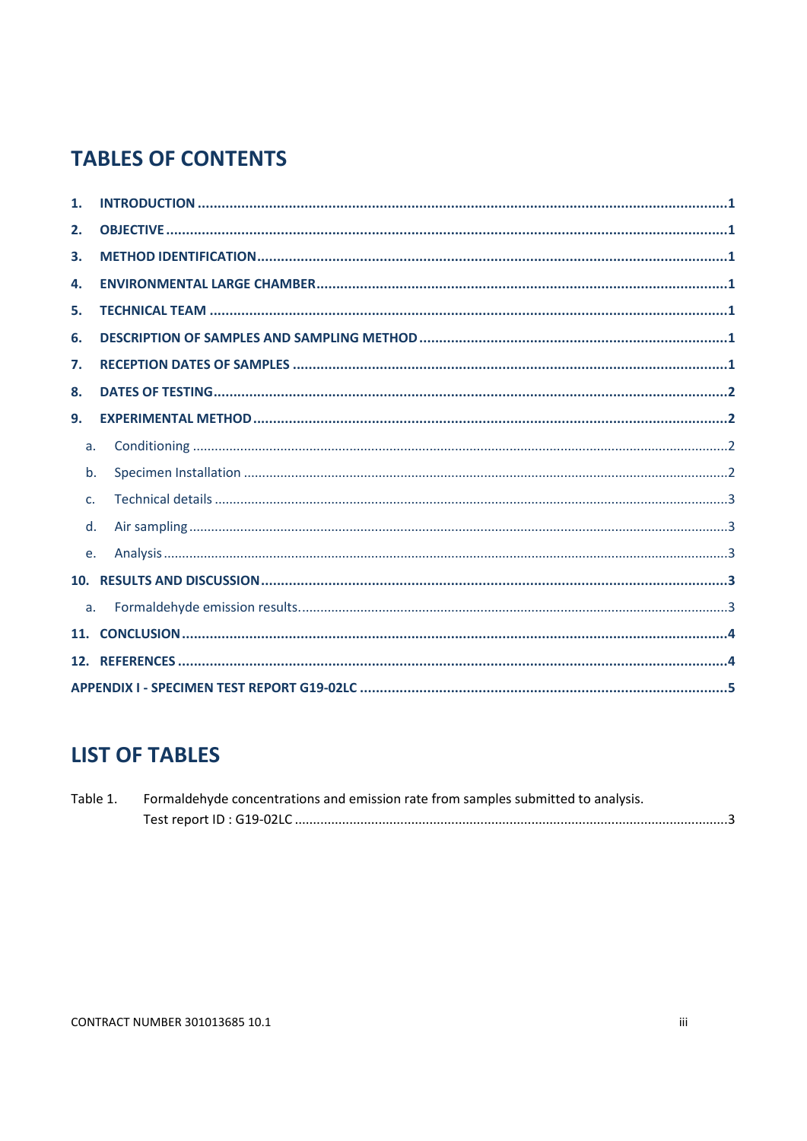# **TABLES OF CONTENTS**

| 1.             |  |  |  |  |  |  |
|----------------|--|--|--|--|--|--|
| 2.             |  |  |  |  |  |  |
| 3.             |  |  |  |  |  |  |
| 4.             |  |  |  |  |  |  |
| 5.             |  |  |  |  |  |  |
| 6.             |  |  |  |  |  |  |
| 7.             |  |  |  |  |  |  |
| 8.             |  |  |  |  |  |  |
| 9.             |  |  |  |  |  |  |
| a.             |  |  |  |  |  |  |
| b.             |  |  |  |  |  |  |
| $\mathsf{C}$   |  |  |  |  |  |  |
| d.             |  |  |  |  |  |  |
| e.             |  |  |  |  |  |  |
|                |  |  |  |  |  |  |
| a <sub>x</sub> |  |  |  |  |  |  |
| 11.            |  |  |  |  |  |  |
|                |  |  |  |  |  |  |
|                |  |  |  |  |  |  |

# **LIST OF TABLES**

| Table 1. | . Formaldehyde concentrations and emission rate from samples submitted to analysis. |  |  |  |  |
|----------|-------------------------------------------------------------------------------------|--|--|--|--|
|          |                                                                                     |  |  |  |  |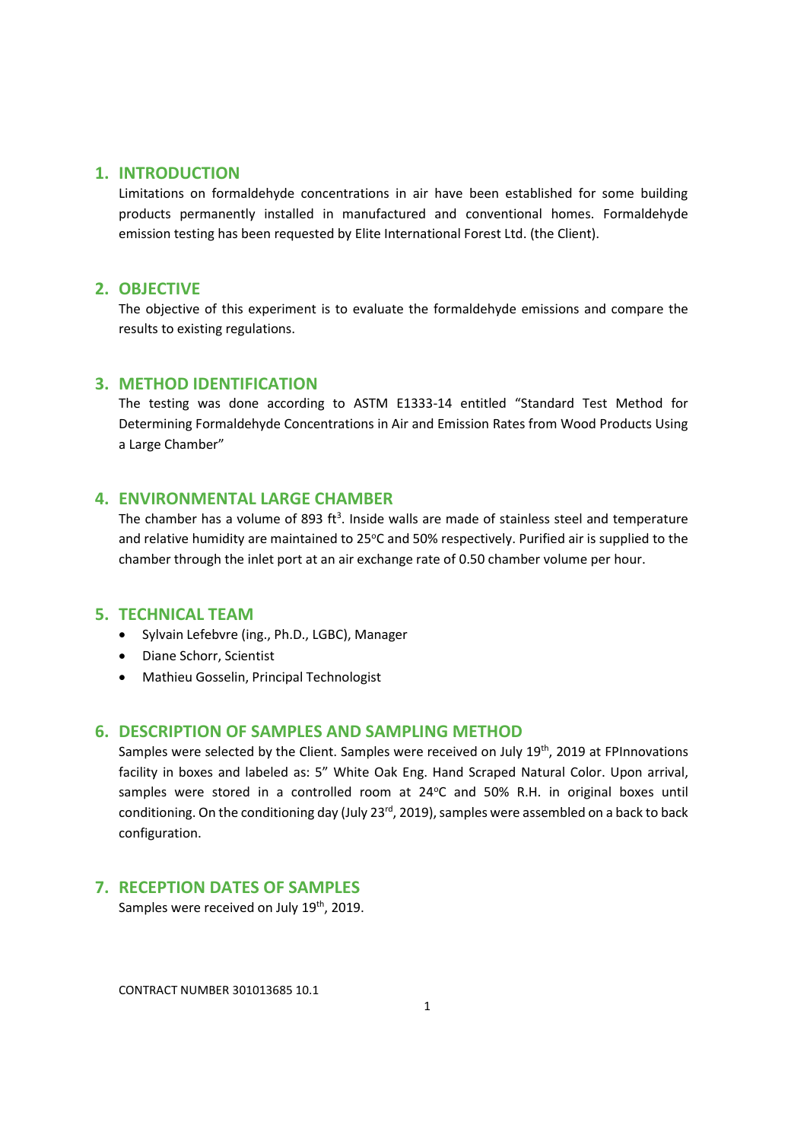#### **1. INTRODUCTION**

Limitations on formaldehyde concentrations in air have been established for some building products permanently installed in manufactured and conventional homes. Formaldehyde emission testing has been requested by Elite International Forest Ltd. (the Client).

#### **2. OBJECTIVE**

The objective of this experiment is to evaluate the formaldehyde emissions and compare the results to existing regulations.

#### **3. METHOD IDENTIFICATION**

The testing was done according to ASTM E1333-14 entitled "Standard Test Method for Determining Formaldehyde Concentrations in Air and Emission Rates from Wood Products Using a Large Chamber"

#### **4. ENVIRONMENTAL LARGE CHAMBER**

The chamber has a volume of 893 ft<sup>3</sup>. Inside walls are made of stainless steel and temperature and relative humidity are maintained to 25°C and 50% respectively. Purified air is supplied to the chamber through the inlet port at an air exchange rate of 0.50 chamber volume per hour.

#### **5. TECHNICAL TEAM**

- Sylvain Lefebvre (ing., Ph.D., LGBC), Manager
- Diane Schorr, Scientist
- Mathieu Gosselin, Principal Technologist

#### **6. DESCRIPTION OF SAMPLES AND SAMPLING METHOD**

Samples were selected by the Client. Samples were received on July 19th, 2019 at FPInnovations facility in boxes and labeled as: 5" White Oak Eng. Hand Scraped Natural Color. Upon arrival, samples were stored in a controlled room at 24°C and 50% R.H. in original boxes until conditioning. On the conditioning day (July 23<sup>rd</sup>, 2019), samples were assembled on a back to back configuration.

### **7. RECEPTION DATES OF SAMPLES**

Samples were received on July 19<sup>th</sup>, 2019.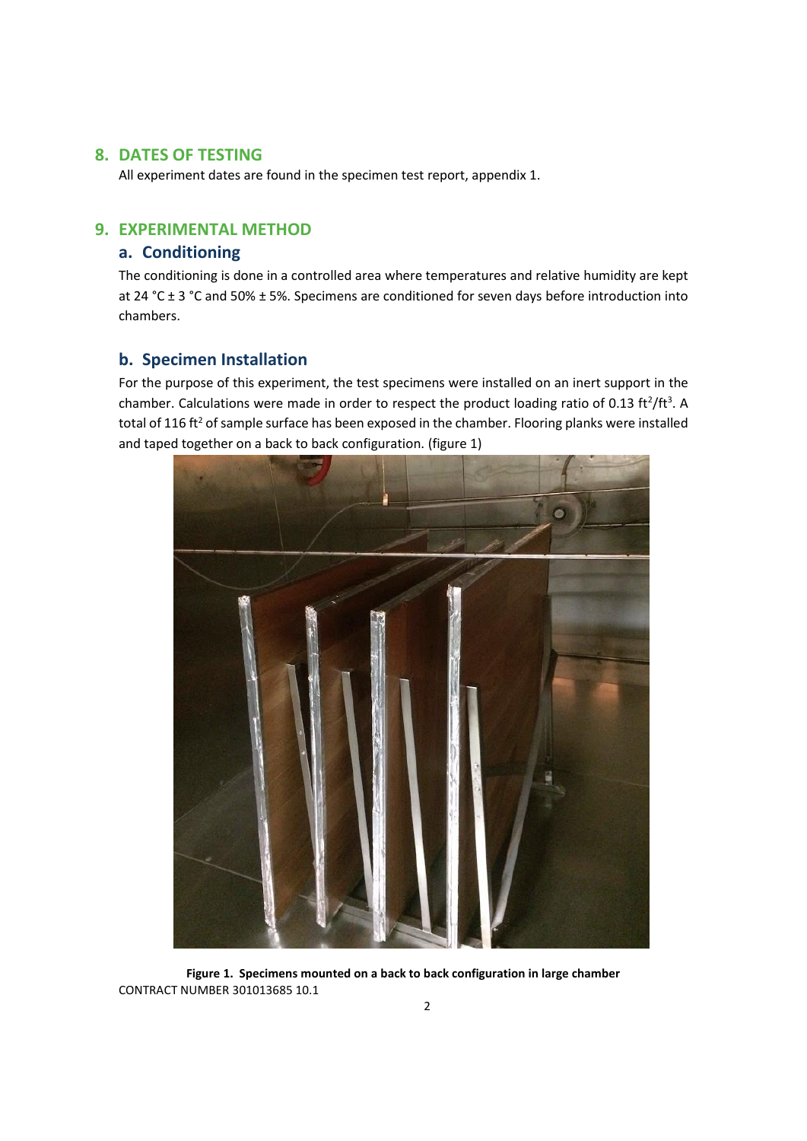#### **8. DATES OF TESTING**

All experiment dates are found in the specimen test report, appendix 1.

# **9. EXPERIMENTAL METHOD**

# **a. Conditioning**

The conditioning is done in a controlled area where temperatures and relative humidity are kept at 24 °C ± 3 °C and 50% ± 5%. Specimens are conditioned for seven days before introduction into chambers.

## **b. Specimen Installation**

For the purpose of this experiment, the test specimens were installed on an inert support in the chamber. Calculations were made in order to respect the product loading ratio of 0.13 ft<sup>2</sup>/ft<sup>3</sup>. A total of 116 ft<sup>2</sup> of sample surface has been exposed in the chamber. Flooring planks were installed and taped together on a back to back configuration. (figure 1)



CONTRACT NUMBER 301013685 10.1 **Figure 1. Specimens mounted on a back to back configuration in large chamber**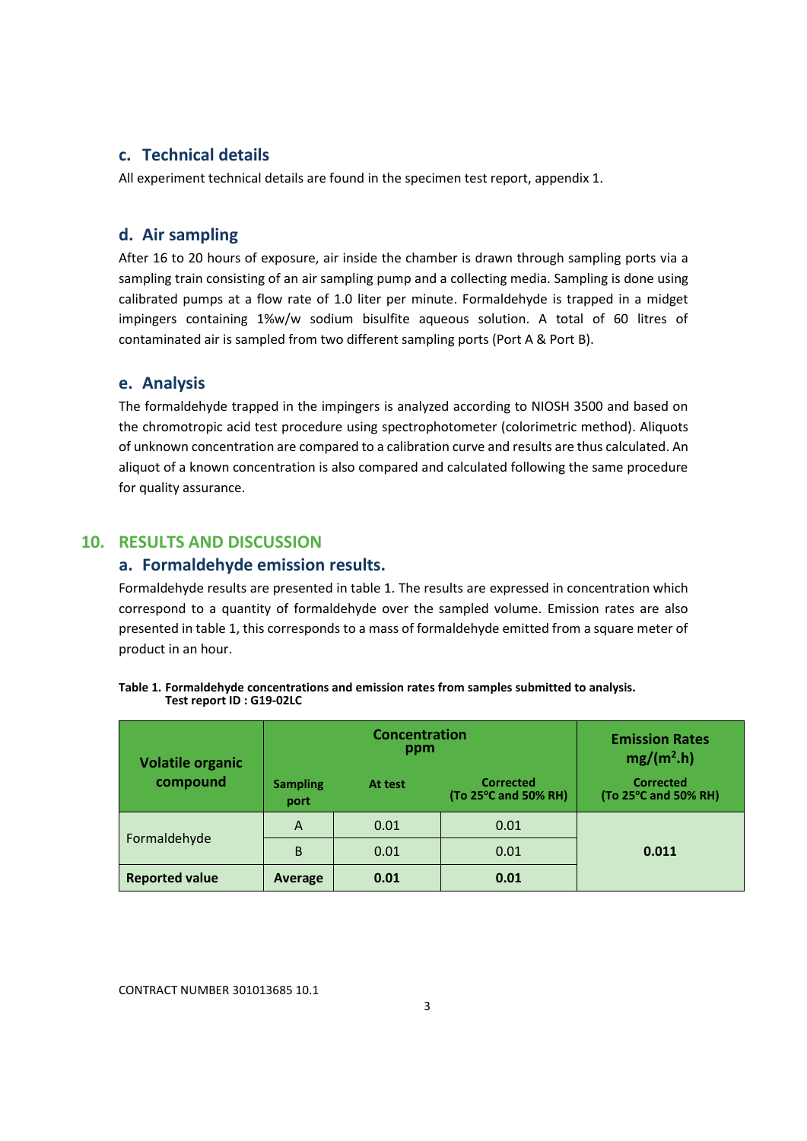## **c. Technical details**

All experiment technical details are found in the specimen test report, appendix 1.

# **d. Air sampling**

After 16 to 20 hours of exposure, air inside the chamber is drawn through sampling ports via a sampling train consisting of an air sampling pump and a collecting media. Sampling is done using calibrated pumps at a flow rate of 1.0 liter per minute. Formaldehyde is trapped in a midget impingers containing 1%w/w sodium bisulfite aqueous solution. A total of 60 litres of contaminated air is sampled from two different sampling ports (Port A & Port B).

#### **e. Analysis**

The formaldehyde trapped in the impingers is analyzed according to NIOSH 3500 and based on the chromotropic acid test procedure using spectrophotometer (colorimetric method). Aliquots of unknown concentration are compared to a calibration curve and results are thus calculated. An aliquot of a known concentration is also compared and calculated following the same procedure for quality assurance.

# **10. RESULTS AND DISCUSSION**

#### **a. Formaldehyde emission results.**

Formaldehyde results are presented in table 1. The results are expressed in concentration which correspond to a quantity of formaldehyde over the sampled volume. Emission rates are also presented in table 1, this corresponds to a mass of formaldehyde emitted from a square meter of product in an hour.

| <b>Volatile organic</b> |                         | <b>Concentration</b><br>ppm | <b>Emission Rates</b><br>$mg/(m^2.h)$    |                                          |
|-------------------------|-------------------------|-----------------------------|------------------------------------------|------------------------------------------|
| compound                | <b>Sampling</b><br>port | At test                     | <b>Corrected</b><br>(To 25°C and 50% RH) | <b>Corrected</b><br>(To 25°C and 50% RH) |
|                         | A                       | 0.01                        | 0.01                                     |                                          |
| Formaldehyde            | B                       | 0.01                        | 0.01                                     | 0.011                                    |
| <b>Reported value</b>   | Average                 | 0.01                        | 0.01                                     |                                          |

|                           | Table 1. Formaldehyde concentrations and emission rates from samples submitted to analysis. |  |  |
|---------------------------|---------------------------------------------------------------------------------------------|--|--|
| Test report ID : G19-02LC |                                                                                             |  |  |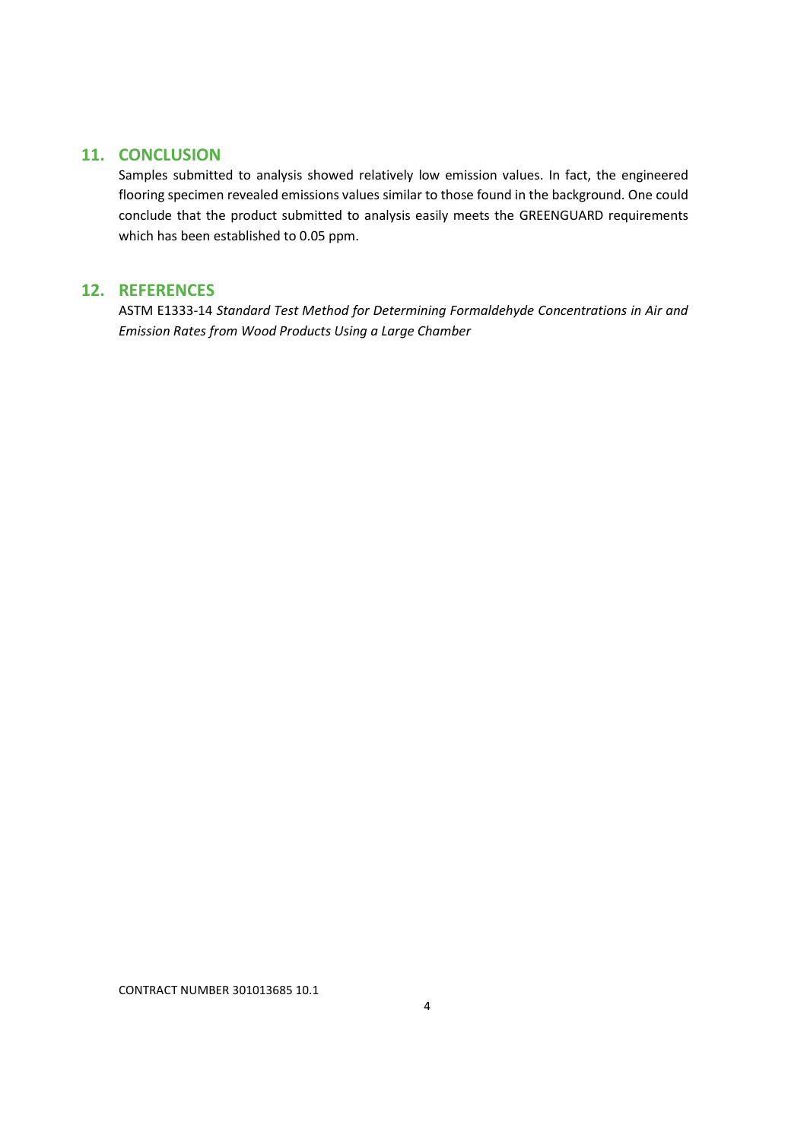# **11. CONCLUSION**

Samples submitted to analysis showed relatively low emission values. In fact, the engineered flooring specimen revealed emissions values similar to those found in the background. One could conclude that the product submitted to analysis easily meets the GREENGUARD requirements which has been established to 0.05 ppm.

# **12. REFERENCES**

ASTM E1333-14 *Standard Test Method for Determining Formaldehyde Concentrations in Air and Emission Rates from Wood Products Using a Large Chamber*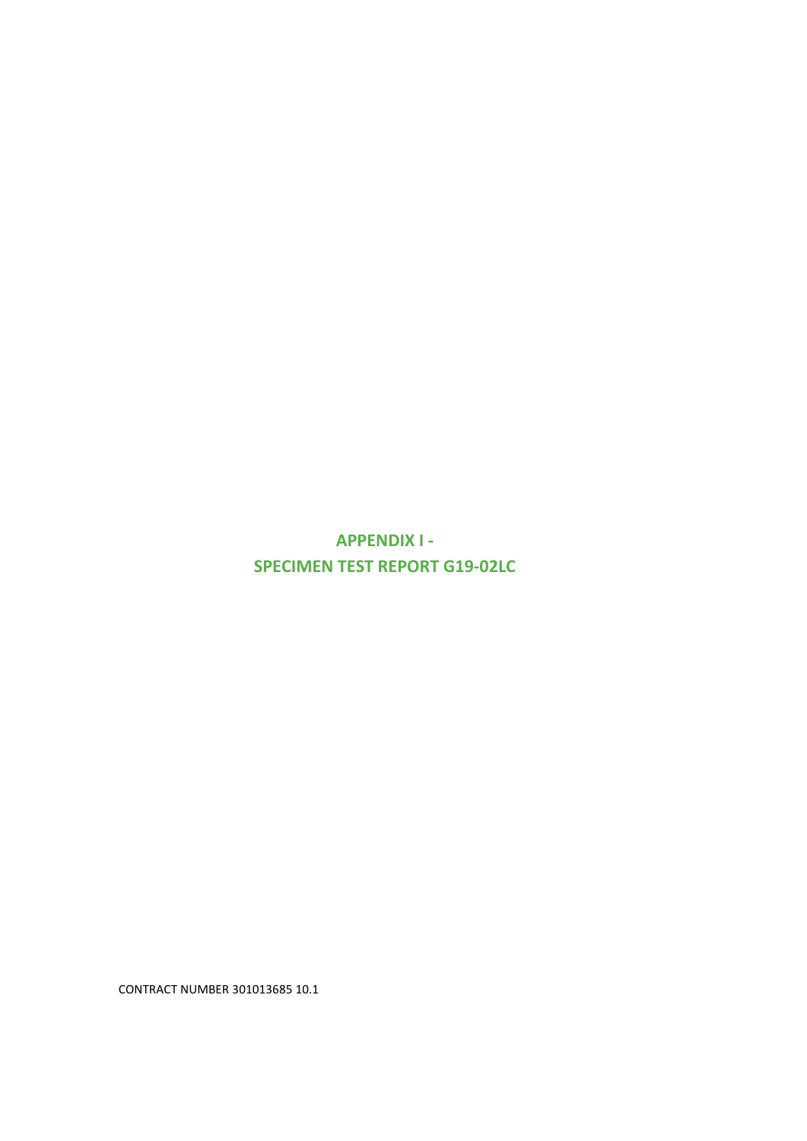**APPENDIX I - SPECIMEN TEST REPORT G19-02LC**